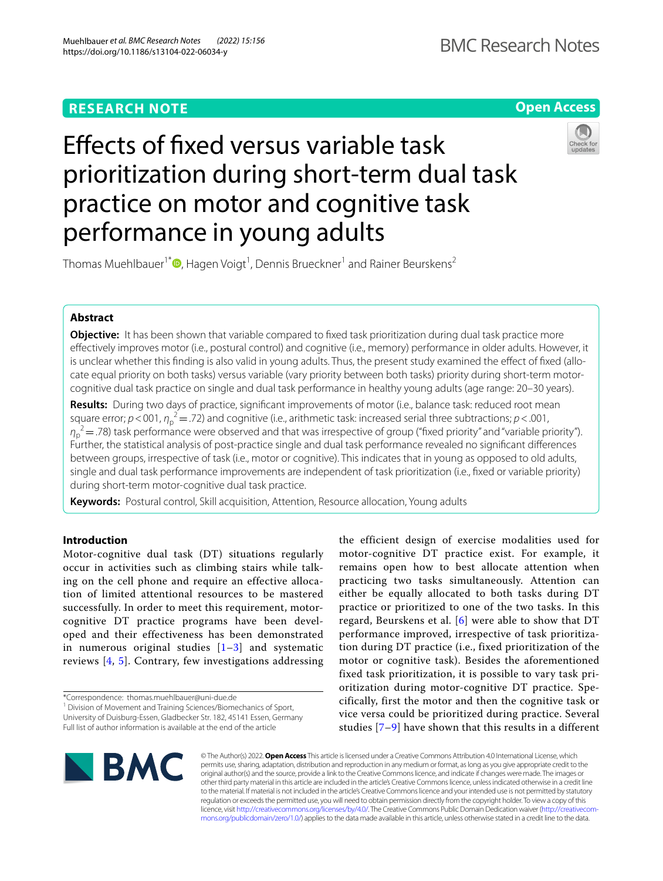# **Open Access**

# Efects of fxed versus variable task prioritization during short-term dual task practice on motor and cognitive task performance in young adults



Thomas Muehlbauer<sup>1\*</sup>®[,](http://orcid.org/0000-0001-7774-8664) Hagen Voigt<sup>1</sup>, Dennis Brueckner<sup>1</sup> and Rainer Beurskens<sup>2</sup>

## **Abstract**

**Objective:** It has been shown that variable compared to fxed task prioritization during dual task practice more efectively improves motor (i.e., postural control) and cognitive (i.e., memory) performance in older adults. However, it is unclear whether this finding is also valid in young adults. Thus, the present study examined the effect of fixed (allocate equal priority on both tasks) versus variable (vary priority between both tasks) priority during short-term motorcognitive dual task practice on single and dual task performance in healthy young adults (age range: 20–30 years).

**Results:** During two days of practice, signifcant improvements of motor (i.e., balance task: reduced root mean square error;  $p < 001$ ,  $\eta_p^2 = 0.72$ ) and cognitive (i.e., arithmetic task: increased serial three subtractions;  $p < 0.001$ , *η*<sub>p</sub><sup>2</sup> = .78) task performance were observed and that was irrespective of group ("fixed priority" and "variable priority"). Further, the statistical analysis of post-practice single and dual task performance revealed no signifcant diferences between groups, irrespective of task (i.e., motor or cognitive). This indicates that in young as opposed to old adults, single and dual task performance improvements are independent of task prioritization (i.e., fixed or variable priority) during short-term motor-cognitive dual task practice.

**Keywords:** Postural control, Skill acquisition, Attention, Resource allocation, Young adults

## **Introduction**

Motor-cognitive dual task (DT) situations regularly occur in activities such as climbing stairs while talking on the cell phone and require an effective allocation of limited attentional resources to be mastered successfully. In order to meet this requirement, motorcognitive DT practice programs have been developed and their effectiveness has been demonstrated in numerous original studies  $[1-3]$  $[1-3]$  and systematic reviews [[4,](#page-4-2) [5\]](#page-4-3). Contrary, few investigations addressing

\*Correspondence: thomas.muehlbauer@uni-due.de

<sup>1</sup> Division of Movement and Training Sciences/Biomechanics of Sport, University of Duisburg-Essen, Gladbecker Str. 182, 45141 Essen, Germany Full list of author information is available at the end of the article

the efficient design of exercise modalities used for motor-cognitive DT practice exist. For example, it remains open how to best allocate attention when practicing two tasks simultaneously. Attention can either be equally allocated to both tasks during DT practice or prioritized to one of the two tasks. In this regard, Beurskens et al. [\[6](#page-4-4)] were able to show that DT performance improved, irrespective of task prioritization during DT practice (i.e., fixed prioritization of the motor or cognitive task). Besides the aforementioned fixed task prioritization, it is possible to vary task prioritization during motor-cognitive DT practice. Specifically, first the motor and then the cognitive task or vice versa could be prioritized during practice. Several studies [[7–](#page-4-5)[9\]](#page-4-6) have shown that this results in a different



© The Author(s) 2022. **Open Access** This article is licensed under a Creative Commons Attribution 4.0 International License, which permits use, sharing, adaptation, distribution and reproduction in any medium or format, as long as you give appropriate credit to the original author(s) and the source, provide a link to the Creative Commons licence, and indicate if changes were made. The images or other third party material in this article are included in the article's Creative Commons licence, unless indicated otherwise in a credit line to the material. If material is not included in the article's Creative Commons licence and your intended use is not permitted by statutory regulation or exceeds the permitted use, you will need to obtain permission directly from the copyright holder. To view a copy of this licence, visit [http://creativecommons.org/licenses/by/4.0/.](http://creativecommons.org/licenses/by/4.0/) The Creative Commons Public Domain Dedication waiver ([http://creativecom](http://creativecommons.org/publicdomain/zero/1.0/)[mons.org/publicdomain/zero/1.0/\)](http://creativecommons.org/publicdomain/zero/1.0/) applies to the data made available in this article, unless otherwise stated in a credit line to the data.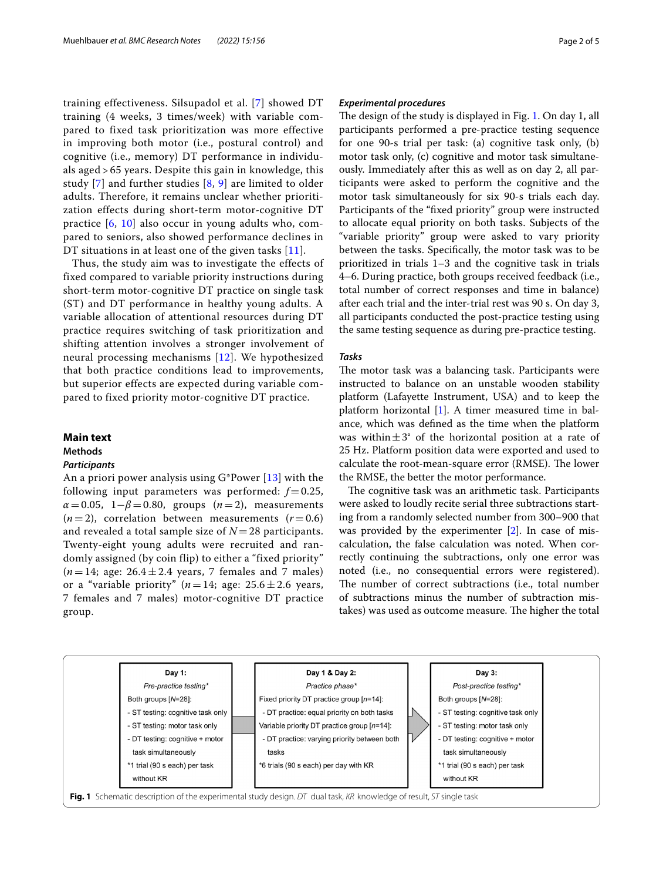training effectiveness. Silsupadol et al. [\[7\]](#page-4-5) showed DT training (4 weeks, 3 times/week) with variable compared to fixed task prioritization was more effective in improving both motor (i.e., postural control) and cognitive (i.e., memory) DT performance in individuals aged > 65 years. Despite this gain in knowledge, this study  $[7]$  $[7]$  $[7]$  and further studies  $[8, 9]$  $[8, 9]$  $[8, 9]$  $[8, 9]$  $[8, 9]$  are limited to older adults. Therefore, it remains unclear whether prioritization effects during short-term motor-cognitive DT practice [[6,](#page-4-4) [10](#page-4-8)] also occur in young adults who, compared to seniors, also showed performance declines in DT situations in at least one of the given tasks [[11](#page-4-9)].

Thus, the study aim was to investigate the effects of fixed compared to variable priority instructions during short-term motor-cognitive DT practice on single task (ST) and DT performance in healthy young adults. A variable allocation of attentional resources during DT practice requires switching of task prioritization and shifting attention involves a stronger involvement of neural processing mechanisms [[12\]](#page-4-10). We hypothesized that both practice conditions lead to improvements, but superior effects are expected during variable compared to fixed priority motor-cognitive DT practice.

## **Main text**

#### **Methods**

## *Participants*

An a priori power analysis using  $G^*$ Power [[13\]](#page-4-11) with the following input parameters was performed:  $f = 0.25$ ,  $\alpha = 0.05$ , 1– $\beta = 0.80$ , groups (*n* = 2), measurements  $(n=2)$ , correlation between measurements  $(r=0.6)$ and revealed a total sample size of  $N = 28$  participants. Twenty-eight young adults were recruited and randomly assigned (by coin flip) to either a "fixed priority"  $(n=14; \text{ age: } 26.4 \pm 2.4 \text{ years}, 7 \text{ females and } 7 \text{ males})$ or a "variable priority" ( $n = 14$ ; age:  $25.6 \pm 2.6$  years, 7 females and 7 males) motor-cognitive DT practice group.

## *Experimental procedures*

The design of the study is displayed in Fig. [1](#page-1-0). On day 1, all participants performed a pre-practice testing sequence for one 90-s trial per task: (a) cognitive task only, (b) motor task only, (c) cognitive and motor task simultaneously. Immediately after this as well as on day 2, all participants were asked to perform the cognitive and the motor task simultaneously for six 90-s trials each day. Participants of the "fxed priority" group were instructed to allocate equal priority on both tasks. Subjects of the "variable priority" group were asked to vary priority between the tasks. Specifcally, the motor task was to be prioritized in trials 1–3 and the cognitive task in trials 4–6. During practice, both groups received feedback (i.e., total number of correct responses and time in balance) after each trial and the inter-trial rest was 90 s. On day 3, all participants conducted the post-practice testing using the same testing sequence as during pre-practice testing.

## *Tasks*

The motor task was a balancing task. Participants were instructed to balance on an unstable wooden stability platform (Lafayette Instrument, USA) and to keep the platform horizontal [\[1](#page-4-0)]. A timer measured time in balance, which was defned as the time when the platform was within $\pm 3^{\circ}$  of the horizontal position at a rate of 25 Hz. Platform position data were exported and used to calculate the root-mean-square error (RMSE). The lower the RMSE, the better the motor performance.

The cognitive task was an arithmetic task. Participants were asked to loudly recite serial three subtractions starting from a randomly selected number from 300–900 that was provided by the experimenter [[2\]](#page-4-12). In case of miscalculation, the false calculation was noted. When correctly continuing the subtractions, only one error was noted (i.e., no consequential errors were registered). The number of correct subtractions (i.e., total number of subtractions minus the number of subtraction mistakes) was used as outcome measure. The higher the total

<span id="page-1-0"></span>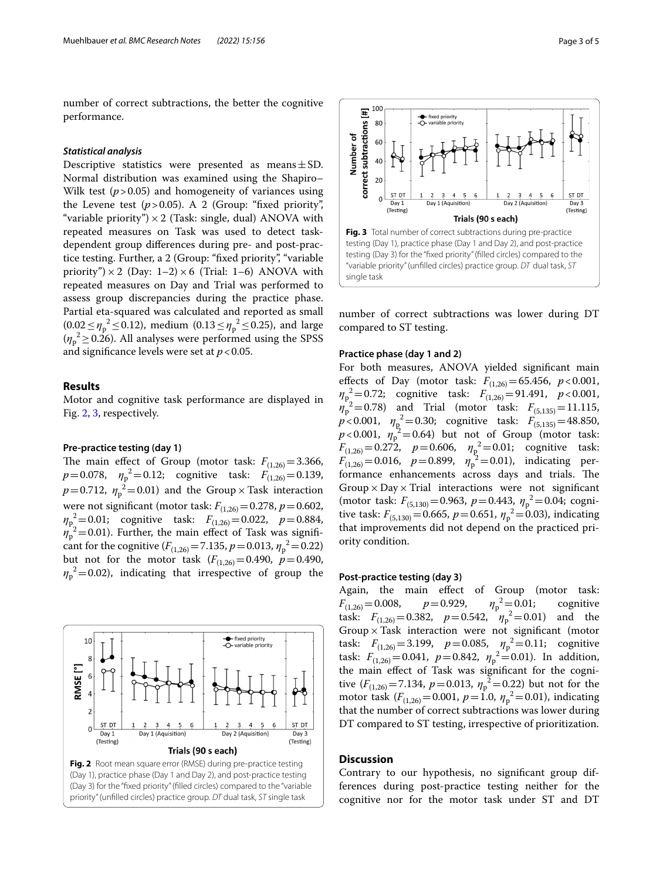number of correct subtractions, the better the cognitive performance.

## *Statistical analysis*

Descriptive statistics were presented as means $\pm$ SD. Normal distribution was examined using the Shapiro– Wilk test (*p*>0.05) and homogeneity of variances using the Levene test  $(p > 0.05)$ . A 2 (Group: "fixed priority", "variable priority")  $\times$  2 (Task: single, dual) ANOVA with repeated measures on Task was used to detect taskdependent group diferences during pre- and post-practice testing. Further, a 2 (Group: "fxed priority", "variable priority")  $\times$  2 (Day: 1–2)  $\times$  6 (Trial: 1–6) ANOVA with repeated measures on Day and Trial was performed to assess group discrepancies during the practice phase. Partial eta-squared was calculated and reported as small  $(0.02 \le \eta_p^2 \le 0.12)$ , medium  $(0.13 \le \eta_p^2 \le 0.25)$ , and large  $(\eta_p^2 \ge 0.26)$ . All analyses were performed using the SPSS and significance levels were set at  $p < 0.05$ .

## **Results**

Motor and cognitive task performance are displayed in Fig. [2,](#page-2-0) [3](#page-2-1), respectively.

## **Pre‑practice testing (day 1)**

The main effect of Group (motor task:  $F_{(1,26)} = 3.366$ ,  $p=0.078$ ,  $\eta_p^2=0.12$ ; cognitive task:  $F_{(1,26)}=0.139$ ,  $p=0.712$ ,  $\eta_p^2=0.01$ ) and the Group  $\times$  Task interaction were not significant (motor task:  $F_{(1,26)} = 0.278$ ,  $p = 0.602$ ,  $m_{p_2}^2 = 0.01$ ; cognitive task:  $F_{(1,26)} = 0.022$ ,  $p = 0.884$ ,  $\eta_p^2$ =0.01). Further, the main effect of Task was significant for the cognitive  $(F_{(1,26)}=7.135, p=0.013, \eta_p^2=0.22)$ but not for the motor task  $(F_{(1,26)}=0.490, p=0.490,$  $\eta_p^2$ =0.02), indicating that irrespective of group the

<span id="page-2-0"></span>



<span id="page-2-1"></span>number of correct subtractions was lower during DT compared to ST testing.

## **Practice phase (day 1 and 2)**

For both measures, ANOVA yielded signifcant main effects of Day (motor task:  $F_{(1,26)} = 65.456$ ,  $p < 0.001$ , *η*p <sup>2</sup>=0.72; cognitive task: *F*(1,26)=91.491, *p*<0.001,  $\eta_p^2 = 0.78$ ) and Trial (motor task:  $F_{(5,135)} = 11.115$ ,  $p < 0.001$ ,  $\eta_{\rm p}^2 = 0.30$ ; cognitive task:  $F_{(5,135)} = 48.850$ ,  $p < 0.001$ ,  $\eta_p^2 = 0.64$ ) but not of Group (motor task:  $F_{(1,26)} = 0.272$ ,  $p = 0.606$ ,  $\eta_{\rm g}^2 = 0.01$ ; cognitive task:  $F_{(1,26)} = 0.016$ ,  $p = 0.899$ ,  $\eta_p^2 = 0.01$ ), indicating performance enhancements across days and trials. The Group  $\times$  Day  $\times$  Trial interactions were not significant (motor task: *F*<sub>(5,130)</sub> = 0.963, *p* = 0.443, *η*<sub>p</sub><sup>2</sup> = 0.04; cognitive task:  $F_{(5,130)} = 0.665$ ,  $p = 0.651$ ,  $\eta_p^2 = 0.03$ ), indicating that improvements did not depend on the practiced priority condition.

## **Post‑practice testing (day 3)**

Again, the main efect of Group (motor task:  $F_{(1,26)}=0.008$ ,  $p=0.929$ ,  $\eta_p^2$ =0.01; cognitive task:  $F_{(1,26)} = 0.382$ ,  $p = 0.542$ ,  $\eta_p^2 = 0.01$ ) and the Group  $\times$  Task interaction were not significant (motor task:  $F_{(1,26)} = 3.199$ ,  $p = 0.085$ ,  $\eta_p^2 = 0.11$ ; cognitive task:  $F_{(1,26)} = 0.041$ ,  $p = 0.842$ ,  $\eta_p^2 = 0.01$ ). In addition, the main efect of Task was signifcant for the cognitive  $(F_{(1,26)} = 7.134, p = 0.013, \eta_p^2 = 0.22)$  but not for the motor task  $(F_{(1,26)} = 0.001, p = 1.0, \eta_p^2 = 0.01)$ , indicating that the number of correct subtractions was lower during DT compared to ST testing, irrespective of prioritization.

## **Discussion**

Contrary to our hypothesis, no signifcant group differences during post-practice testing neither for the cognitive nor for the motor task under ST and DT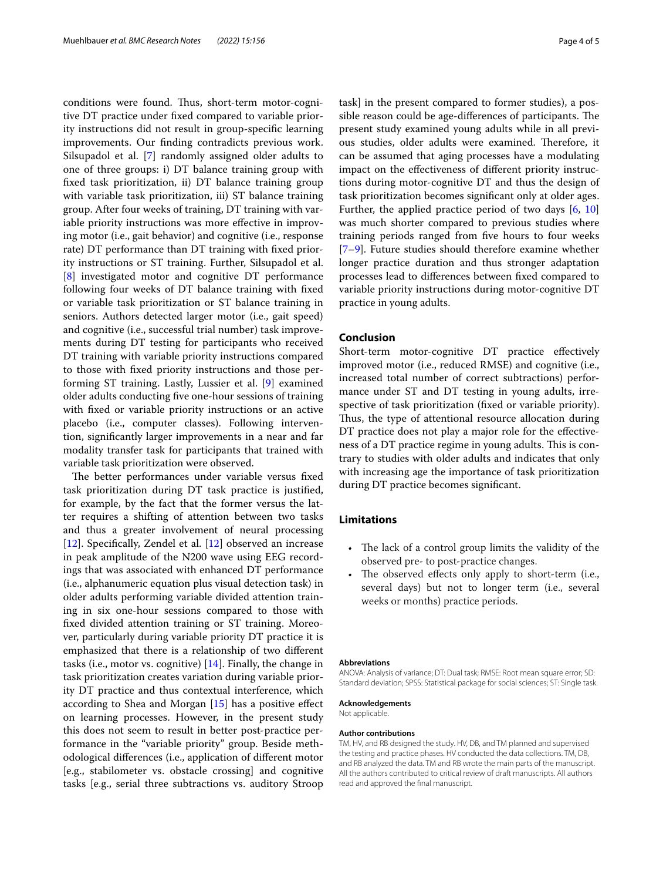conditions were found. Thus, short-term motor-cognitive DT practice under fxed compared to variable priority instructions did not result in group-specifc learning improvements. Our fnding contradicts previous work. Silsupadol et al. [\[7\]](#page-4-5) randomly assigned older adults to one of three groups: i) DT balance training group with fxed task prioritization, ii) DT balance training group with variable task prioritization, iii) ST balance training group. After four weeks of training, DT training with variable priority instructions was more effective in improving motor (i.e., gait behavior) and cognitive (i.e., response rate) DT performance than DT training with fxed priority instructions or ST training. Further, Silsupadol et al. [[8\]](#page-4-7) investigated motor and cognitive DT performance following four weeks of DT balance training with fxed or variable task prioritization or ST balance training in seniors. Authors detected larger motor (i.e., gait speed) and cognitive (i.e., successful trial number) task improvements during DT testing for participants who received DT training with variable priority instructions compared to those with fxed priority instructions and those performing ST training. Lastly, Lussier et al. [[9\]](#page-4-6) examined older adults conducting fve one-hour sessions of training with fxed or variable priority instructions or an active placebo (i.e., computer classes). Following intervention, signifcantly larger improvements in a near and far modality transfer task for participants that trained with variable task prioritization were observed.

The better performances under variable versus fixed task prioritization during DT task practice is justifed, for example, by the fact that the former versus the latter requires a shifting of attention between two tasks and thus a greater involvement of neural processing [[12\]](#page-4-10). Specifically, Zendel et al. [\[12](#page-4-10)] observed an increase in peak amplitude of the N200 wave using EEG recordings that was associated with enhanced DT performance (i.e., alphanumeric equation plus visual detection task) in older adults performing variable divided attention training in six one-hour sessions compared to those with fxed divided attention training or ST training. Moreover, particularly during variable priority DT practice it is emphasized that there is a relationship of two diferent tasks (i.e., motor vs. cognitive) [[14](#page-4-13)]. Finally, the change in task prioritization creates variation during variable priority DT practice and thus contextual interference, which according to Shea and Morgan [[15\]](#page-4-14) has a positive efect on learning processes. However, in the present study this does not seem to result in better post-practice performance in the "variable priority" group. Beside methodological diferences (i.e., application of diferent motor [e.g., stabilometer vs. obstacle crossing] and cognitive tasks [e.g., serial three subtractions vs. auditory Stroop task] in the present compared to former studies), a possible reason could be age-differences of participants. The present study examined young adults while in all previous studies, older adults were examined. Therefore, it can be assumed that aging processes have a modulating impact on the efectiveness of diferent priority instructions during motor-cognitive DT and thus the design of task prioritization becomes signifcant only at older ages. Further, the applied practice period of two days  $[6, 10]$  $[6, 10]$  $[6, 10]$  $[6, 10]$  $[6, 10]$ was much shorter compared to previous studies where training periods ranged from fve hours to four weeks [[7–](#page-4-5)[9\]](#page-4-6). Future studies should therefore examine whether longer practice duration and thus stronger adaptation processes lead to diferences between fxed compared to variable priority instructions during motor-cognitive DT practice in young adults.

## **Conclusion**

Short-term motor-cognitive DT practice efectively improved motor (i.e., reduced RMSE) and cognitive (i.e., increased total number of correct subtractions) performance under ST and DT testing in young adults, irrespective of task prioritization (fixed or variable priority). Thus, the type of attentional resource allocation during DT practice does not play a major role for the effectiveness of a DT practice regime in young adults. This is contrary to studies with older adults and indicates that only with increasing age the importance of task prioritization during DT practice becomes signifcant.

## **Limitations**

- The lack of a control group limits the validity of the observed pre- to post-practice changes.
- The observed effects only apply to short-term (i.e., several days) but not to longer term (i.e., several weeks or months) practice periods.

#### **Abbreviations**

ANOVA: Analysis of variance; DT: Dual task; RMSE: Root mean square error; SD: Standard deviation; SPSS: Statistical package for social sciences; ST: Single task.

**Acknowledgements**

Not applicable.

#### **Author contributions**

TM, HV, and RB designed the study. HV, DB, and TM planned and supervised the testing and practice phases. HV conducted the data collections. TM, DB, and RB analyzed the data. TM and RB wrote the main parts of the manuscript. All the authors contributed to critical review of draft manuscripts. All authors read and approved the fnal manuscript.